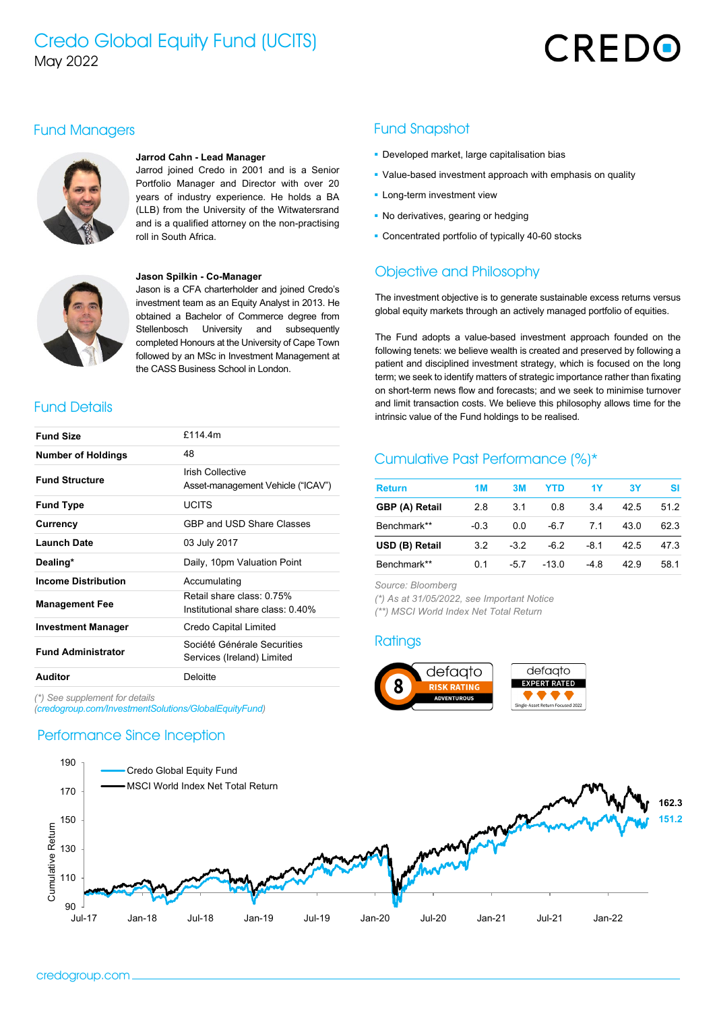# Credo Global Equity Fund (UCITS) May 2022

# CREDO

#### Fund Managers



#### **Jarrod Cahn - Lead Manager**

Jarrod joined Credo in 2001 and is a Senior Portfolio Manager and Director with over 20 years of industry experience. He holds a BA (LLB) from the University of the Witwatersrand and is a qualified attorney on the non-practising roll in South Africa.



#### **Jason Spilkin - Co-Manager**

Jason is a CFA charterholder and joined Credo's investment team as an Equity Analyst in 2013. He obtained a Bachelor of Commerce degree from Stellenbosch University and subsequently completed Honours at the University of Cape Town followed by an MSc in Investment Management at the CASS Business School in London.

#### Fund Details

| <b>Fund Size</b>           | £114 4m                                                       |  |  |
|----------------------------|---------------------------------------------------------------|--|--|
| <b>Number of Holdings</b>  | 48                                                            |  |  |
| <b>Fund Structure</b>      | Irish Collective<br>Asset-management Vehicle ("ICAV")         |  |  |
| <b>Fund Type</b>           | <b>UCITS</b>                                                  |  |  |
| Currency                   | GBP and USD Share Classes                                     |  |  |
| <b>Launch Date</b>         | 03 July 2017                                                  |  |  |
| Dealing*                   | Daily, 10pm Valuation Point                                   |  |  |
| <b>Income Distribution</b> | Accumulating                                                  |  |  |
| <b>Management Fee</b>      | Retail share class: 0.75%<br>Institutional share class: 0.40% |  |  |
| <b>Investment Manager</b>  | Credo Capital Limited                                         |  |  |
| <b>Fund Administrator</b>  | Société Générale Securities<br>Services (Ireland) Limited     |  |  |
| Auditor                    | Deloitte                                                      |  |  |

*(\*) See supplement for details* 

*(credogroup.com/InvestmentSolutions/GlobalEquityFund)*

#### Performance Since Inception

#### Fund Snapshot

- **Developed market, large capitalisation bias**
- Value-based investment approach with emphasis on quality
- **-** Long-term investment view
- No derivatives, gearing or hedging
- **Concentrated portfolio of typically 40-60 stocks**

#### Objective and Philosophy

The investment objective is to generate sustainable excess returns versus global equity markets through an actively managed portfolio of equities.

The Fund adopts a value-based investment approach founded on the following tenets: we believe wealth is created and preserved by following a patient and disciplined investment strategy, which is focused on the long term; we seek to identify matters of strategic importance rather than fixating on short-term news flow and forecasts; and we seek to minimise turnover and limit transaction costs. We believe this philosophy allows time for the intrinsic value of the Fund holdings to be realised.

#### Cumulative Past Performance (%)\*

| <b>Return</b>  | 1M     | 3M     | YTD    | 1Y    | 3Υ   | sı   |
|----------------|--------|--------|--------|-------|------|------|
| GBP (A) Retail | 2.8    | 3.1    | 0.8    | 34    | 42.5 | 512  |
| Benchmark**    | $-0.3$ | 0.0    | $-6.7$ | 71    | 43.0 | 623  |
| USD (B) Retail | 3.2    | $-3.2$ | -62    | -8.1  | 42.5 | 47.3 |
| Benchmark**    | በ 1    | -57    | $-130$ | $-48$ | 429  | 58 1 |

*Source: Bloomberg*

*(\*) As at 31/05/2022, see Important Notice (\*\*) MSCI World Index Net Total Return*

#### **Ratings**